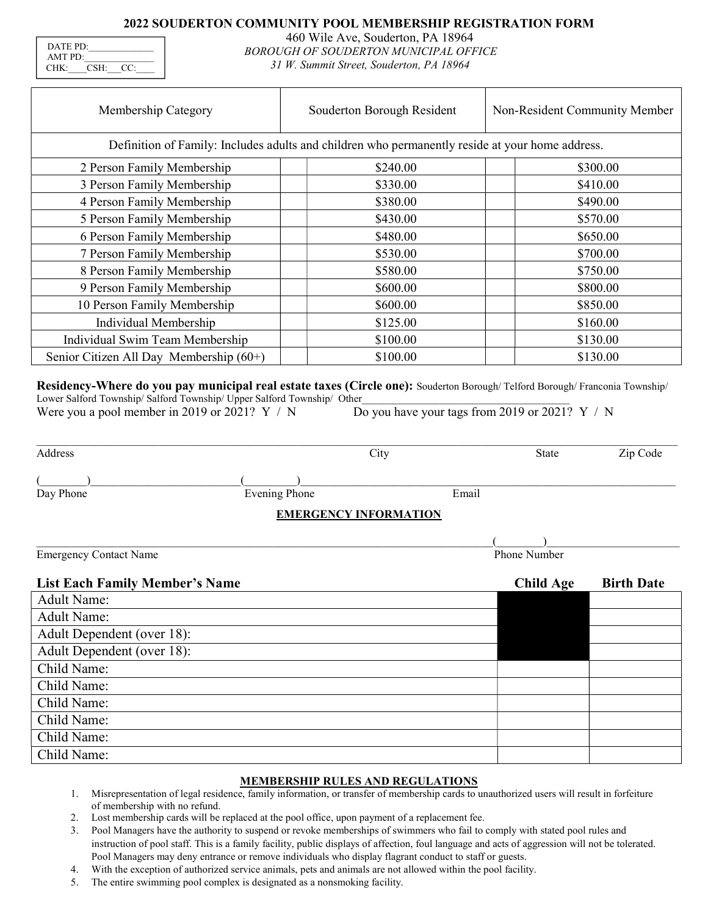# 2022 SOUDERTON COMMUNITY POOL MEMBERSHIP REGISTRATION FORM

| DATE PD:            |      |         |  |
|---------------------|------|---------|--|
| AMTPD:              |      |         |  |
| $CHK^{\mathcal{L}}$ | CSH: | 1 C C C |  |

460 Wile Ave, Souderton, PA 18964 BOROUGH OF SOUDERTON MUNICIPAL OFFICE 31 W. Summit Street, Souderton, PA 18964

| Membership Category                                                                             | Souderton Borough Resident | Non-Resident Community Member |  |
|-------------------------------------------------------------------------------------------------|----------------------------|-------------------------------|--|
| Definition of Family: Includes adults and children who permanently reside at your home address. |                            |                               |  |
| 2 Person Family Membership                                                                      | \$240.00                   | \$300.00                      |  |
| 3 Person Family Membership                                                                      | \$330.00                   | \$410.00                      |  |
| 4 Person Family Membership                                                                      | \$380.00                   | \$490.00                      |  |
| 5 Person Family Membership                                                                      | \$430.00                   | \$570.00                      |  |
| 6 Person Family Membership                                                                      | \$480.00                   | \$650.00                      |  |
| 7 Person Family Membership                                                                      | \$530.00                   | \$700.00                      |  |
| 8 Person Family Membership                                                                      | \$580.00                   | \$750.00                      |  |
| 9 Person Family Membership                                                                      | \$600.00                   | \$800.00                      |  |
| 10 Person Family Membership                                                                     | \$600.00                   | \$850.00                      |  |
| Individual Membership                                                                           | \$125.00                   | \$160.00                      |  |
| Individual Swim Team Membership                                                                 | \$100.00                   | \$130.00                      |  |
| Senior Citizen All Day Membership $(60+)$                                                       | \$100.00                   | \$130.00                      |  |
|                                                                                                 |                            |                               |  |

Residency-Where do you pay municipal real estate taxes (Circle one): Souderton Borough/ Telford Borough/ Franconia Township/ Lower Salford Township/ Salford Township/ Upper Salford Township/ Other

Were you a pool member in 2019 or 2021?  $Y / N$  Do you have your tags from 2019 or 2021?  $Y / N$ 

| Address                               | City                         |       | State            | Zip Code          |
|---------------------------------------|------------------------------|-------|------------------|-------------------|
|                                       |                              |       |                  |                   |
| Day Phone                             | <b>Evening Phone</b>         | Email |                  |                   |
|                                       | <b>EMERGENCY INFORMATION</b> |       |                  |                   |
|                                       |                              |       |                  |                   |
| <b>Emergency Contact Name</b>         |                              |       | Phone Number     |                   |
| <b>List Each Family Member's Name</b> |                              |       | <b>Child Age</b> | <b>Birth Date</b> |
| <b>Adult Name:</b>                    |                              |       |                  |                   |
| $\Delta$ dult Nomo                    |                              |       |                  |                   |

| <b>Adult Name:</b>         |  |
|----------------------------|--|
| Adult Dependent (over 18): |  |
| Adult Dependent (over 18): |  |
| Child Name:                |  |
| Child Name:                |  |
| Child Name:                |  |
| Child Name:                |  |
| Child Name:                |  |
| Child Name:                |  |

## MEMBERSHIP RULES AND REGULATIONS

- 1. Misrepresentation of legal residence, family information, or transfer of membership cards to unauthorized users will result in forfeiture of membership with no refund.
- 2. Lost membership cards will be replaced at the pool office, upon payment of a replacement fee.
- 3. Pool Managers have the authority to suspend or revoke memberships of swimmers who fail to comply with stated pool rules and instruction of pool staff. This is a family facility, public displays of affection, foul language and acts of aggression will not be tolerated. Pool Managers may deny entrance or remove individuals who display flagrant conduct to staff or guests.
- 4. With the exception of authorized service animals, pets and animals are not allowed within the pool facility.
- 5. The entire swimming pool complex is designated as a nonsmoking facility.